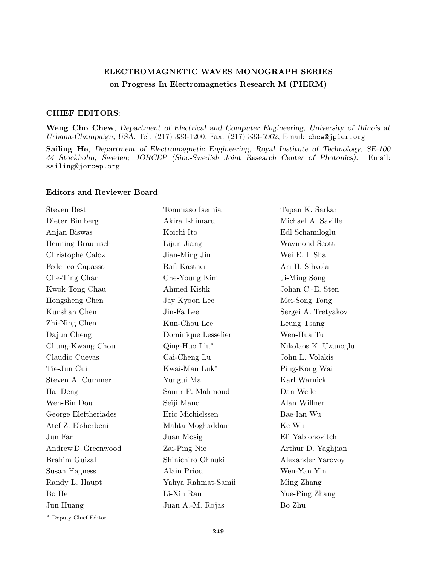## **ELECTROMAGNETIC WAVES MONOGRAPH SERIES on Progress In Electromagnetics Research M (PIERM)**

## **CHIEF EDITORS**:

**Weng Cho Chew**, *Department of Electrical and Computer Engineering, University of Illinois at Urbana-Champaign, USA.* Tel: (217) 333-1200, Fax: (217) 333-5962, Email: chew@jpier.org

**Sailing He**, *Department of Electromagnetic Engineering, Royal Institute of Technology, SE-100 44 Stockholm, Sweden; JORCEP (Sino-Swedish Joint Research Center of Photonics).* Email: sailing@jorcep.org

## **Editors and Reviewer Board**:

| <b>Steven Best</b>   | Tommaso Isernia     | Tapan K. Sarkar      |
|----------------------|---------------------|----------------------|
| Dieter Bimberg       | Akira Ishimaru      | Michael A. Saville   |
| Anjan Biswas         | Koichi Ito          | Edl Schamiloglu      |
| Henning Braunisch    | Lijun Jiang         | Waymond Scott        |
| Christophe Caloz     | Jian-Ming Jin       | Wei E. I. Sha        |
| Federico Capasso     | Rafi Kastner        | Ari H. Sihvola       |
| Che-Ting Chan        | Che-Young Kim       | Ji-Ming Song         |
| Kwok-Tong Chau       | Ahmed Kishk         | Johan C.-E. Sten     |
| Hongsheng Chen       | Jay Kyoon Lee       | Mei-Song Tong        |
| Kunshan Chen         | Jin-Fa Lee          | Sergei A. Tretyakov  |
| Zhi-Ning Chen        | Kun-Chou Lee        | Leung Tsang          |
| Dajun Cheng          | Dominique Lesselier | Wen-Hua Tu           |
| Chung-Kwang Chou     | Qing-Huo Liu*       | Nikolaos K. Uzunoglu |
| Claudio Cuevas       | Cai-Cheng Lu        | John L. Volakis      |
| Tie-Jun Cui          | Kwai-Man Luk*       | Ping-Kong Wai        |
| Steven A. Cummer     | Yungui Ma           | Karl Warnick         |
| Hai Deng             | Samir F. Mahmoud    | Dan Weile            |
| Wen-Bin Dou          | Seiji Mano          | Alan Willner         |
| George Eleftheriades | Eric Michielssen    | Bae-Ian Wu           |
| Atef Z. Elsherbeni   | Mahta Moghaddam     | Ke Wu                |
| Jun Fan              | Juan Mosig          | Eli Yablonovitch     |
| Andrew D. Greenwood  | Zai-Ping Nie        | Arthur D. Yaghjian   |
| Brahim Guizal        | Shinichiro Ohnuki   | Alexander Yarovoy    |
| Susan Hagness        | Alain Priou         | Wen-Yan Yin          |
| Randy L. Haupt       | Yahya Rahmat-Samii  | Ming Zhang           |
| Bo He                | Li-Xin Ran          | Yue-Ping Zhang       |
| Jun Huang            | Juan A.-M. Rojas    | Bo Zhu               |
|                      |                     |                      |

*∗* Deputy Chief Editor